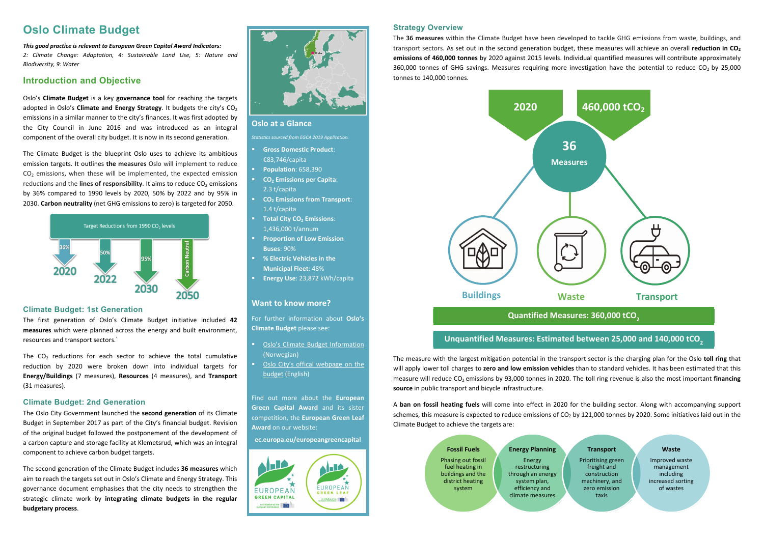# **Oslo at a Glance**

*Statistics sourced from EGCA 2019 Application.* 

- **Gross Domestic Product**: €83,746/capita
- Ш **Population**: 658,390
- **CO2 Emissions per Capita**: 2.3 t/capita
- **CO<sub>2</sub> Emissions from Transport:** 1.4 t/capita
- **Total City CO<sub>2</sub> Emissions:** 1,436,000 t/annum
- **Proportion of Low Emission Buses**: 90%
- **% Electric Vehicles in the Municipal Fleet**: 48%
- **Energy Use**: 23,872 kWh/capita

- **Diamate Budget Information** (Norwegian)
- Oslo City's offical webpage on the [budget \(English\)](https://www.oslo.kommune.no/english/politics-and-administration/green-oslo/best-practices/climate-budget/#gref)

# **Want to know more?**

For further information about **Oslo's Climate Budget** please see:

Find out more about the **European Green Capital Award** and its sister competition, the **European Green Leaf Award** on our website:

**ec.europa.eu/europeangreencapital** 



# **Oslo Climate Budget**

*This good practice is relevant to European Green Capital Award Indicators:*  2: Climate Change: Adaptation, 4: Sustainable Land Use, 5: Nature and *Biodiversity, 9: Water* 

# **Introduction and Objective**

The  $CO<sub>2</sub>$  reductions for each sector to achieve the total cumulative reduction by 2020 were broken down into individual targets for **Energy/Buildings** (7 measures), **Resources** (4 measures), and **Transport** (31 measures).

Oslo's **Climate Budget** is <sup>a</sup> key **governance tool** for reaching the targets adopted in Oslo's **Climate and Energy Strategy**. It budgets the city's  $CO<sub>2</sub>$ emissions in a similar manner to the city's finances. It was first adopted by the City Council in June 2016 and was introduced as an integral component of the overall city budget. It is now in its second generation.

The Climate Budget is the blueprint Oslo uses to achieve its ambitious emission targets. It outlines **the measures** Oslo will implement to reduce  $CO<sub>2</sub>$  emissions, when these will be implemented, the expected emission reductions and the **lines of responsibility**. It aims to reduce  $CO<sub>2</sub>$  emissions by 36% compared to 1990 levels by 2020, 50% by 2022 and by 95% in 2030. **Carbon neutrality** (net GHG emissions to zero) is targeted for 2050.



# **Climate Budget: 1st Generation**

The first generation of Oslo's Climate Budget initiative included **42 measures** which were planned across the energy and built environment, resources and transport sectors.`

# **Climate Budget: 2nd Generation**

The Oslo City Government launched the **second generation** of its Climate Budget in September 2017 as part of the City's financial budget. Revision of the original budget followed the postponement of the development of a carbon capture and storage facility at Klemetsrud, which was an integral component to achieve carbon budget targets.

The second generation of the Climate Budget includes **36 measures** which aim to reach the targets set out in Oslo's Climate and Energy Strategy. This governance document emphasises that the city needs to strengthen the strategic climate work by **integrating climate budgets in the regular budgetary process**.



### **Strategy Overview**

The **36 measures** within the Climate Budget have been developed to tackle GHG emissions from waste, buildings, and transport sectors. As set out in the second generation budget, these measures will achieve an overall **reduction in CO**<sub>2</sub> **emissions of 460,000 tonnes** by 2020 against 2015 levels. Individual quantified measures will contribute approximately 360,000 tonnes of GHG savings. Measures requiring more investigation have the potential to reduce  $CO<sub>2</sub>$  by 25,000 tonnes to 140,000 tonnes.

The measure with the largest mitigation potential in the transport sector is the charging plan for the Oslo **toll ring** that will apply lower toll charges to **zero and low emission vehicles** than to standard vehicles. It has been estimated that this measure will reduce CO<sub>2</sub> emissions by 93,000 tonnes in 2020. The toll ring revenue is also the most important **financing source** in public transport and bicycle infrastructure.

A **ban on fossil heating fuels** will come into effect in 2020 for the building sector. Along with accompanying support schemes, this measure is expected to reduce emissions of  $CO<sub>2</sub>$  by 121,000 tonnes by 2020. Some initiatives laid out in the Climate Budget to achieve the targets are:

### **Fossil Fuels** Phasing out fossil fuel heating in buildings and the district heating system

**Energy Planning**

Energy restructuring through an energy system plan, efficiency and climate measures

### **Transport**

Prioritising green freight and construction machinery, and zero emission taxis

### **Waste**

Improved waste management including increased sorting of wastes



# **Unquantified Measures: Estimated between 25,000 and 140,000 tCO2**